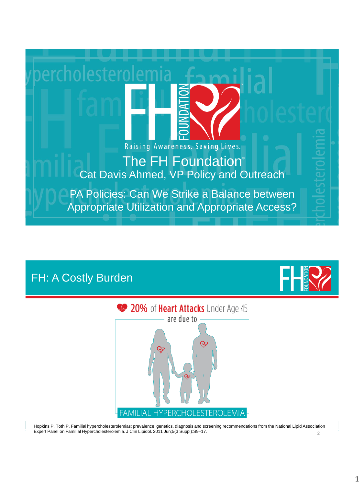

## FH: A Costly Burden



 $\mathfrak{D}$ Hopkins P, Toth P. Familial hypercholesterolemias: prevalence, genetics, diagnosis and screening recommendations from the National Lipid Association Expert Panel on Familial Hypercholesterolemia. J Clin Lipidol. 2011 Jun;5(3 Suppl):S9–17.

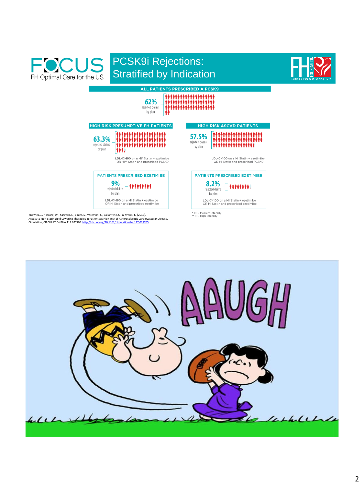

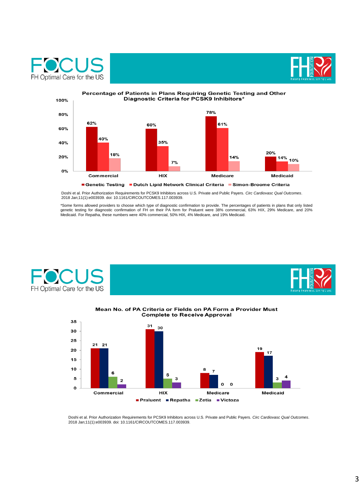





Doshi et al. Prior Authorization Requirements for PCSK9 Inhibitors across U.S. Private and Public Payers. *Circ Cardiovasc Qual Outcomes*. 2018 Jan;11(1):e003939. doi: 10.1161/CIRCOUTCOMES.117.003939.

\*Some forms allowed providers to choose which type of diagnostic confirmation to provide. The percentages of patients in plans that only listed<br>genetic testing for diagnostic confirmation of FH on their PA form for Praluen





## Mean No. of PA Criteria or Fields on PA Form a Provider Must **Complete to Receive Approval**



Doshi et al. Prior Authorization Requirements for PCSK9 Inhibitors across U.S. Private and Public Payers. *Circ Cardiovasc Qual Outcomes*. 2018 Jan;11(1):e003939. doi: 10.1161/CIRCOUTCOMES.117.003939.